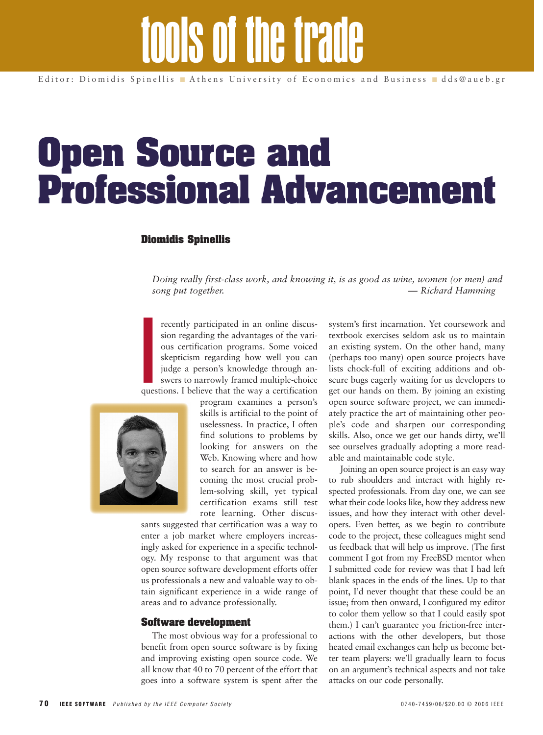# **Open Source and Professional Advancement**

## **Diomidis Spinellis**

*Doing really first-class work, and knowing it, is as good as wine, women (or men) and song put together. — Richard Hamming*

 $\frac{1}{2}$ recently participated in an online discussion regarding the advantages of the various certification programs. Some voiced skepticism regarding how well you can judge a person's knowledge through answers to narrowly framed multiple-choice questions. I believe that the way a certification



program examines a person's skills is artificial to the point of uselessness. In practice, I often find solutions to problems by looking for answers on the Web. Knowing where and how to search for an answer is becoming the most crucial problem-solving skill, yet typical certification exams still test rote learning. Other discus-

sants suggested that certification was a way to enter a job market where employers increasingly asked for experience in a specific technology. My response to that argument was that open source software development efforts offer us professionals a new and valuable way to obtain significant experience in a wide range of areas and to advance professionally.

## **Software development**

The most obvious way for a professional to benefit from open source software is by fixing and improving existing open source code. We all know that 40 to 70 percent of the effort that goes into a software system is spent after the

system's first incarnation. Yet coursework and textbook exercises seldom ask us to maintain an existing system. On the other hand, many (perhaps too many) open source projects have lists chock-full of exciting additions and obscure bugs eagerly waiting for us developers to get our hands on them. By joining an existing open source software project, we can immediately practice the art of maintaining other people's code and sharpen our corresponding skills. Also, once we get our hands dirty, we'll see ourselves gradually adopting a more readable and maintainable code style.

Joining an open source project is an easy way to rub shoulders and interact with highly respected professionals. From day one, we can see what their code looks like, how they address new issues, and how they interact with other developers. Even better, as we begin to contribute code to the project, these colleagues might send us feedback that will help us improve. (The first comment I got from my FreeBSD mentor when I submitted code for review was that I had left blank spaces in the ends of the lines. Up to that point, I'd never thought that these could be an issue; from then onward, I configured my editor to color them yellow so that I could easily spot them.) I can't guarantee you friction-free interactions with the other developers, but those heated email exchanges can help us become better team players: we'll gradually learn to focus on an argument's technical aspects and not take attacks on our code personally.